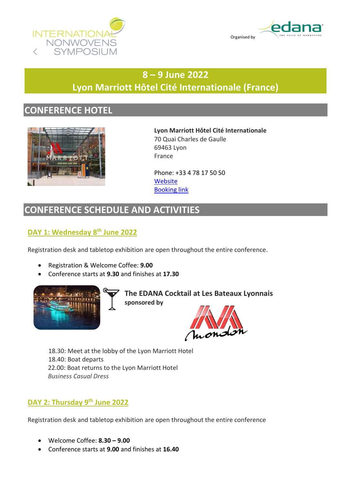



# **8 – 9 June 2022 Lyon Marriott Hôtel Cité Internationale (France)**

## **CONFERENCE HOTEL**



**Lyon Marriott Hôtel Cité Internationale** 70 Quai Charles de Gaulle 69463 Lyon France

Phone: +33 4 78 17 50 50 **[Website](https://www.marriott.com/en-us/hotels/lysmc-lyon-marriott-hotel-cite-internationale/overview/)** [Booking link](https://www.marriott.com/event-reservations/reservation-link.mi?id=1644921342526&key=GRP&app=resvlink)

## **CONFERENCE SCHEDULE AND ACTIVITIES**

#### **DAY 1: Wednesday 8th June 2022**

Registration desk and tabletop exhibition are open throughout the entire conference.

- Registration & Welcome Coffee: **9.00**
- Conference starts at **9.30** and finishes at **17.30**



**The EDANA Cocktail at Les Bateaux Lyonnais sponsored by** 



18.30: Meet at the lobby of the Lyon Marriott Hotel 18.40: Boat departs 22.00: Boat returns to the Lyon Marriott Hotel  *Business Casual Dress*

#### **DAY 2: Thursday 9th June 2022**

Registration desk and tabletop exhibition are open throughout the entire conference

- Welcome Coffee: **8.30 – 9.00**
- Conference starts at **9.00** and finishes at **16.40**